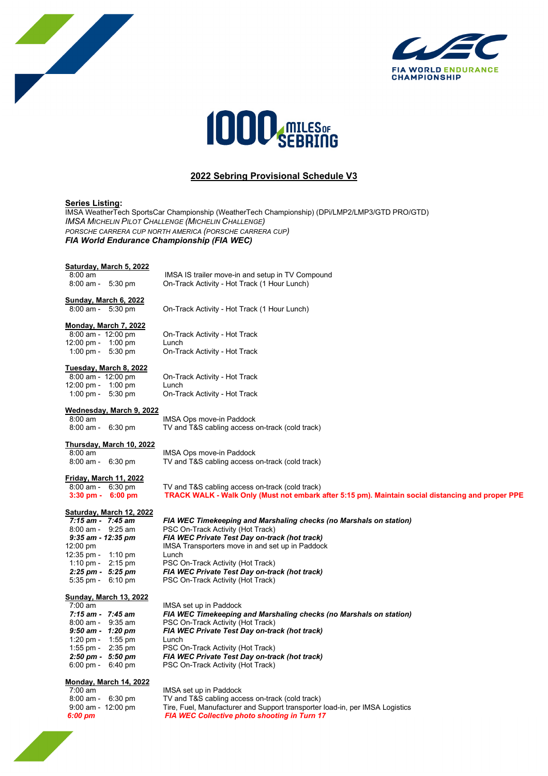





## **2022 Sebring Provisional Schedule V3**

#### **Series Listing:**

IMSA WeatherTech SportsCar Championship (WeatherTech Championship) (DPi/LMP2/LMP3/GTD PRO/GTD) *IMSA MICHELIN PILOT CHALLENGE (MICHELIN CHALLENGE) PORSCHE CARRERA CUP NORTH AMERICA (PORSCHE CARRERA CUP) FIA World Endurance Championship (FIA WEC)*

## **Saturday, March 5, 2022**<br>8:00 am

8:00 am IMSA IS trailer move-in and setup in TV Compound<br>8:00 am - 5:30 pm On-Track Activity - Hot Track (1 Hour Lunch) On-Track Activity - Hot Track (1 Hour Lunch)

On-Track Activity - Hot Track (1 Hour Lunch)

**Sunday, March 6, 2022**<br>8:00 am - 5:30 pm

**Monday, March 7, 2022**<br>8:00 am - 12:00 pm

12:00 pm - 1:00 pm Lunch<br>1:00 pm - 5:30 pm On-Tra

On-Track Activity - Hot Track On-Track Activity - Hot Track

# **Tuesday, March 8, 2022**

12:00 pm - 1:00 pm<br>1:00 pm - 5:30 pm

On-Track Activity - Hot Track<br>Lunch On-Track Activity - Hot Track

## **Wednesday, March 9, 2022**<br>8:00 am

8:00 am IMSA Ops move-in Paddock<br>8:00 am - 6:30 pm TV and T&S cabling access TV and T&S cabling access on-track (cold track)

## **Thursday, March 10, 2022**<br>8:00 am

8:00 am IMSA Ops move-in Paddock<br>8:00 am - 6:30 pm TV and T&S cabling access TV and T&S cabling access on-track (cold track)

**Friday, March 11, 2022**<br>8:00 am - 6:30 pm<br>**3:30 pm - 6:00 pm** 

TV and T&S cabling access on-track (cold track)  **3:30 pm - 6:00 pm TRACK WALK - Walk Only (Must not embark after 5:15 pm). Maintain social distancing and proper PPE**

**Saturday, March 12, 2022** 12:35 pm - 1:10 pm Lunch<br>1:10 pm - 2:15 pm PSC 0

 *7:15 am - 7:45 am FIA WEC Timekeeping and Marshaling checks (no Marshals on station)* 8:00 am - 9:25 am PSC On-Track Activity (Hot Track)<br>9:35 am - 12:35 pm FIA WEC Private Test Day on-tra  *9:35 am - 12:35 pm FIA WEC Private Test Day on-track (hot track)* IMSA Transporters move in and set up in Paddock 1:10 pm - 2:15 pm PSC On-Track Activity (Hot Track)<br>2:25 pm - 5:25 pm - FIA WEC Private Test Day on-tra 2:25 pm - 5:25 pm **FIA WEC Private Test Day on-track (hot track)**<br>5:35 pm - 6:10 pm **FSC On-Track Activity (Hot Track)** PSC On-Track Activity (Hot Track)

#### **Sunday, March 13, 2022**

| 7:00 am   |           |
|-----------|-----------|
| 7:15 am - | 7:45 am   |
| 8:00 am - | 9:35 am   |
| 9:50 am - | 1:20 pm   |
| 1:20 pm - | $1:55$ pm |
| 1:55 pm - | $2:35$ pm |
| 2:50 pm - | 5:50 pm   |
| 6:00 pm - | 6:40 pm   |

IMSA set up in Paddock  *7:15 am - 7:45 am FIA WEC Timekeeping and Marshaling checks (no Marshals on station)* PSC On-Track Activity (Hot Track)

*FIA WEC Private Test Day on-track (hot track)* Lunch PSC On-Track Activity (Hot Track)

*2:50 pm - 5:50 pm FIA WEC Private Test Day on-track (hot track)* PSC On-Track Activity (Hot Track)

## **Monday, March 14, 2022**<br>7:00 am

| 7:00 am            | IMSA set up in Paddock                                                       |
|--------------------|------------------------------------------------------------------------------|
| 8:00 am - 6:30 pm  | TV and T&S cabling access on-track (cold track)                              |
| 9:00 am - 12:00 pm | Tire, Fuel, Manufacturer and Support transporter load-in, per IMSA Logistics |
| 6:00 pm            | <b>FIA WEC Collective photo shooting in Turn 17</b>                          |

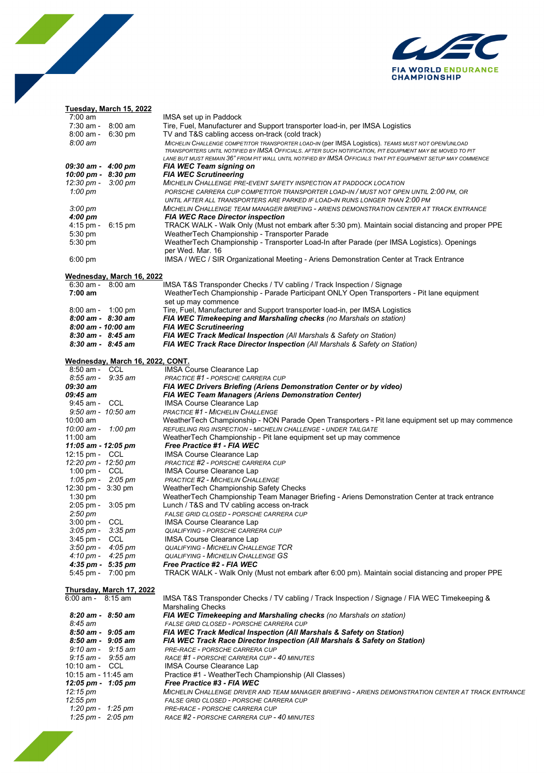

# 

### **Tuesday, March 15, 2022**

| 7:00 am                             |                                  | IMSA set up in Paddock                                                                                                                                                                                          |
|-------------------------------------|----------------------------------|-----------------------------------------------------------------------------------------------------------------------------------------------------------------------------------------------------------------|
| $7:30$ am -                         | 8:00 am                          | Tire, Fuel, Manufacturer and Support transporter load-in, per IMSA Logistics                                                                                                                                    |
| $8:00$ am -                         | $6:30 \text{ pm}$                | TV and T&S cabling access on-track (cold track)                                                                                                                                                                 |
| 8:00 am                             |                                  | MICHELIN CHALLENGE COMPETITOR TRANSPORTER LOAD-IN (per IMSA Logistics). TEAMS MUST NOT OPEN/UNLOAD<br>TRANSPORTERS UNTIL NOTIFIED BY IMSA OFFICIALS. AFTER SUCH NOTIFICATION, PIT EQUIPMENT MAY BE MOVED TO PIT |
|                                     |                                  | LANE BUT MUST REMAIN 36" FROM PIT WALL UNTIL NOTIFIED BY IMSA OFFICIALS THAT PIT EQUIPMENT SETUP MAY COMMENCE                                                                                                   |
| 09:30 am - 4:00 pm                  |                                  | FIA WEC Team signing on                                                                                                                                                                                         |
| 10:00 pm - 8:30 pm                  |                                  | <b>FIA WEC Scrutineering</b>                                                                                                                                                                                    |
| 12:30 pm -                          | $3:00 \text{ pm}$                | <b>MICHELIN CHALLENGE PRE-EVENT SAFETY INSPECTION AT PADDOCK LOCATION</b>                                                                                                                                       |
| 1:00 $pm$                           |                                  | PORSCHE CARRERA CUP COMPETITOR TRANSPORTER LOAD-IN / MUST NOT OPEN UNTIL 2:00 PM, OR                                                                                                                            |
|                                     |                                  | UNTIL AFTER ALL TRANSPORTERS ARE PARKED IF LOAD-IN RUNS LONGER THAN 2:00 PM                                                                                                                                     |
| $3:00 \text{ pm}$                   |                                  | MICHELIN CHALLENGE TEAM MANAGER BRIEFING - ARIENS DEMONSTRATION CENTER AT TRACK ENTRANCE                                                                                                                        |
| $4:00 \text{ pm}$                   |                                  | <b>FIA WEC Race Director inspection</b>                                                                                                                                                                         |
| $4:15$ pm -                         | $6:15 \text{ pm}$                | TRACK WALK - Walk Only (Must not embark after 5:30 pm). Maintain social distancing and proper PPE                                                                                                               |
| $5:30$ pm                           |                                  | WeatherTech Championship - Transporter Parade                                                                                                                                                                   |
| 5:30 pm                             |                                  | WeatherTech Championship - Transporter Load-In after Parade (per IMSA Logistics). Openings                                                                                                                      |
|                                     |                                  | per Wed. Mar. 16<br>IMSA / WEC / SIR Organizational Meeting - Ariens Demonstration Center at Track Entrance                                                                                                     |
| $6:00 \text{ pm}$                   |                                  |                                                                                                                                                                                                                 |
|                                     | <u>Wednesday, March 16, 2022</u> |                                                                                                                                                                                                                 |
| $6:30$ am -                         | $8:00 \text{ am}$                | IMSA T&S Transponder Checks / TV cabling / Track Inspection / Signage                                                                                                                                           |
| 7:00 am                             |                                  | WeatherTech Championship - Parade Participant ONLY Open Transporters - Pit lane equipment                                                                                                                       |
|                                     |                                  | set up may commence                                                                                                                                                                                             |
| $8:00$ am - 1:00 pm                 |                                  | Tire, Fuel, Manufacturer and Support transporter load-in, per IMSA Logistics                                                                                                                                    |
| $8:00$ am - $8:30$ am               |                                  | FIA WEC Timekeeping and Marshaling checks (no Marshals on station)                                                                                                                                              |
| 8:00 am - 10:00 am                  |                                  | <b>FIA WEC Scrutineering</b>                                                                                                                                                                                    |
| $8:30$ am - $8:45$ am               |                                  | FIA WEC Track Medical Inspection (All Marshals & Safety on Station)                                                                                                                                             |
| $8:30$ am - $8:45$ am               |                                  | FIA WEC Track Race Director Inspection (All Marshals & Safety on Station)                                                                                                                                       |
|                                     |                                  |                                                                                                                                                                                                                 |
| 8:50 am - CCL                       | Wednesday, March 16, 2022, CONT. |                                                                                                                                                                                                                 |
| $8:55$ am -                         | $9:35$ am                        | <b>IMSA Course Clearance Lap</b><br>PRACTICE #1 - PORSCHE CARRERA CUP                                                                                                                                           |
| 09:30 am                            |                                  | FIA WEC Drivers Briefing (Ariens Demonstration Center or by video)                                                                                                                                              |
| 09:45 am                            |                                  | <b>FIA WEC Team Managers (Ariens Demonstration Center)</b>                                                                                                                                                      |
| $9:45$ am -                         | CCL                              | IMSA Course Clearance Lap                                                                                                                                                                                       |
| 9:50 am - 10:50 am                  |                                  | <b>PRACTICE #1 - MICHELIN CHALLENGE</b>                                                                                                                                                                         |
| 10:00 am                            |                                  | WeatherTech Championship - NON Parade Open Transporters - Pit lane equipment set up may commence                                                                                                                |
| 10:00 am -                          | 1:00 pm                          | REFUELING RIG INSPECTION - MICHELIN CHALLENGE - UNDER TAILGATE                                                                                                                                                  |
| 11:00 am                            |                                  | WeatherTech Championship - Pit lane equipment set up may commence                                                                                                                                               |
| 11:05 am - 12:05 pm                 |                                  | Free Practice #1 - FIA WEC                                                                                                                                                                                      |
| 12:15 pm - CCL                      |                                  | IMSA Course Clearance Lap                                                                                                                                                                                       |
| 12:20 pm - 12:50 pm                 |                                  | PRACTICE #2 - PORSCHE CARRERA CUP                                                                                                                                                                               |
| 1:00 pm - CCL                       |                                  | IMSA Course Clearance Lap                                                                                                                                                                                       |
| $1:05 \text{ pm} - 2:05 \text{ pm}$ |                                  | <b>PRACTICE #2 - MICHELIN CHALLENGE</b>                                                                                                                                                                         |
| 12:30 pm - 3:30 pm                  |                                  | WeatherTech Championship Safety Checks<br>WeatherTech Championship Team Manager Briefing - Ariens Demonstration Center at track entrance                                                                        |
| $1:30$ pm<br>$2:05$ pm -            | $3:05$ pm                        | Lunch / T&S and TV cabling access on-track                                                                                                                                                                      |
| $2:50 \text{ pm}$                   |                                  | FALSE GRID CLOSED - PORSCHE CARRERA CUP                                                                                                                                                                         |
| $3:00 \text{ pm} - \text{CCL}$      |                                  | IMSA Course Clearance Lap                                                                                                                                                                                       |
| $3:05 \text{ pm} - 3:35 \text{ pm}$ |                                  | <i><b>QUALIFYING - PORSCHE CARRERA CUP</b></i>                                                                                                                                                                  |
| $3:45$ pm -                         | CCL                              | IMSA Course Clearance Lap                                                                                                                                                                                       |
| $3:50 \text{ pm} -$                 | 4:05 pm                          | <b>QUALIFYING - MICHELIN CHALLENGE TCR</b>                                                                                                                                                                      |
| $4:10 \text{ pm} - 4:25 \text{ pm}$ |                                  | <b>QUALIFYING - MICHELIN CHALLENGE GS</b>                                                                                                                                                                       |
| 4:35 pm - 5:35 pm                   |                                  | Free Practice #2 - FIA WEC                                                                                                                                                                                      |
| 5:45 pm - 7:00 pm                   |                                  | TRACK WALK - Walk Only (Must not embark after 6:00 pm). Maintain social distancing and proper PPE                                                                                                               |
|                                     |                                  |                                                                                                                                                                                                                 |
|                                     | <u>Thursday, March 17, 2022</u>  |                                                                                                                                                                                                                 |
| 6:00 am - 8:15 am                   |                                  | IMSA T&S Transponder Checks / TV cabling / Track Inspection / Signage / FIA WEC Timekeeping &<br><b>Marshaling Checks</b>                                                                                       |
| $8:20$ am - $8:50$ am               |                                  | FIA WEC Timekeeping and Marshaling checks (no Marshals on station)                                                                                                                                              |
| 8:45 am                             |                                  | FALSE GRID CLOSED - PORSCHE CARRERA CUP                                                                                                                                                                         |
| $8:50$ am - $9:05$ am               |                                  | FIA WEC Track Medical Inspection (All Marshals & Safety on Station)                                                                                                                                             |
| $8:50$ am - $9:05$ am               |                                  | FIA WEC Track Race Director Inspection (All Marshals & Safety on Station)                                                                                                                                       |
| $9:10$ am - $9:15$ am               |                                  | PRE-RACE - PORSCHE CARRERA CUP                                                                                                                                                                                  |
| $9:15$ am - $9:55$ am               |                                  | RACE #1 - PORSCHE CARRERA CUP - 40 MINUTES                                                                                                                                                                      |
| 10:10 am - CCL                      |                                  | IMSA Course Clearance Lap                                                                                                                                                                                       |
| 10:15 am - 11:45 am                 |                                  | Practice #1 - WeatherTech Championship (All Classes)                                                                                                                                                            |
| 12:05 pm - 1:05 pm                  |                                  | Free Practice #3 - FIA WEC                                                                                                                                                                                      |
| 12:15 pm                            |                                  | MICHELIN CHALLENGE DRIVER AND TEAM MANAGER BRIEFING - ARIENS DEMONSTRATION CENTER AT TRACK ENTRANCE                                                                                                             |
| 12:55 pm                            |                                  | FALSE GRID CLOSED - PORSCHE CARRERA CUP                                                                                                                                                                         |
| 1:20 pm - 1:25 pm                   |                                  | PRE-RACE - PORSCHE CARRERA CUP                                                                                                                                                                                  |
| 1:25 pm - 2:05 pm                   |                                  | RACE #2 - PORSCHE CARRERA CUP - 40 MINUTES                                                                                                                                                                      |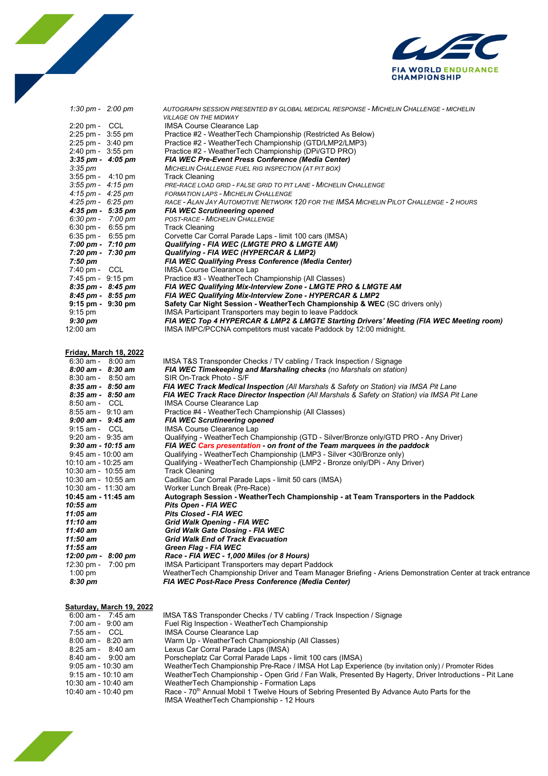



| 1:30 pm - $2:00$ pm                                | AUTOGRAPH SESSION PRESENTED BY GLOBAL MEDICAL RESPONSE - MICHELIN CHALLENGE - MICHELIN<br><b>VILLAGE ON THE MIDWAY</b> |
|----------------------------------------------------|------------------------------------------------------------------------------------------------------------------------|
| $2:20 \text{ pm} - \text{CCL}$                     | <b>IMSA Course Clearance Lap</b>                                                                                       |
| 2:25 pm - 3:55 pm                                  | Practice #2 - WeatherTech Championship (Restricted As Below)                                                           |
| $2:25$ pm - $3:40$ pm                              | Practice #2 - WeatherTech Championship (GTD/LMP2/LMP3)                                                                 |
| 2:40 pm - 3:55 pm                                  | Practice #2 - WeatherTech Championship (DPi/GTD PRO)                                                                   |
| $3:35$ pm - $4:05$ pm                              | FIA WEC Pre-Event Press Conference (Media Center)                                                                      |
| $3:35 \text{ pm}$                                  | MICHELIN CHALLENGE FUEL RIG INSPECTION (AT PIT BOX)                                                                    |
| 3:55 pm - 4:10 pm                                  | Track Cleaning                                                                                                         |
| 3:55 pm - 4:15 pm                                  | PRE-RACE LOAD GRID - FALSE GRID TO PIT LANE - MICHELIN CHALLENGE                                                       |
| $4:15 \text{ pm} - 4:25 \text{ pm}$                | <b>FORMATION LAPS - MICHELIN CHALLENGE</b>                                                                             |
| $4:25 \text{ pm} - 6:25 \text{ pm}$                | RACE - ALAN JAY AUTOMOTIVE NETWORK 120 FOR THE IMSA MICHELIN PILOT CHALLENGE - 2 HOURS                                 |
| $4:35$ pm - $5:35$ pm                              | <b>FIA WEC Scrutineering opened</b>                                                                                    |
| $6:30 \text{ pm} - 7:00 \text{ pm}$                | POST-RACE - MICHELIN CHALLENGE                                                                                         |
| $6:30 \text{ pm} - 6:55 \text{ pm}$                | <b>Track Cleaning</b>                                                                                                  |
| $6:35 \text{ pm} - 6:55 \text{ pm}$                | Corvette Car Corral Parade Laps - limit 100 cars (IMSA)                                                                |
| 7:00 pm - 7:10 pm                                  | Qualifying - FIA WEC (LMGTE PRO & LMGTE AM)                                                                            |
| 7:20 pm - 7:30 pm                                  | Qualifying - FIA WEC (HYPERCAR & LMP2)                                                                                 |
| 7:50 pm                                            | FIA WEC Qualifying Press Conference (Media Center)                                                                     |
| 7:40 pm - CCL                                      | <b>IMSA Course Clearance Lap</b>                                                                                       |
| 7:45 pm - 9:15 pm                                  | Practice #3 - WeatherTech Championship (All Classes)                                                                   |
| 8:35 pm - 8:45 pm                                  | FIA WEC Qualifying Mix-Interview Zone - LMGTE PRO & LMGTE AM                                                           |
| $8:45 \text{ pm} - 8:55 \text{ pm}$                | FIA WEC Qualifying Mix-Interview Zone - HYPERCAR & LMP2                                                                |
| $9:15$ pm - $9:30$ pm                              | Safety Car Night Session - WeatherTech Championship & WEC (SC drivers only)                                            |
| $9:15$ pm                                          | IMSA Participant Transporters may begin to leave Paddock                                                               |
| $9:30 \text{ pm}$                                  | FIA WEC Top 4 HYPERCAR & LMP2 & LMGTE Starting Drivers' Meeting (FIA WEC Meeting room)                                 |
| 12:00 am                                           | IMSA IMPC/PCCNA competitors must vacate Paddock by 12:00 midnight.                                                     |
|                                                    |                                                                                                                        |
| <u>Friday, March 18, 2022</u><br>6:30 am - 8:00 am | IMSA T&S Transponder Checks / TV cabling / Track Inspection / Signage                                                  |
| $8:00 \text{ am} - 8:30 \text{ am}$                | FIA WEC Timekeeping and Marshaling checks (no Marshals on station)                                                     |
| 8:30 am - 8:50 am                                  | SIR On-Track Photo - S/F                                                                                               |
| $8:35$ am - $8:50$ am                              | FIA WEC Track Medical Inspection (All Marshals & Safety on Station) via IMSA Pit Lane                                  |
| $8:35$ am - $8:50$ am                              | FIA WEC Track Race Director Inspection (All Marshals & Safety on Station) via IMSA Pit Lane                            |
| 8:50 am - CCL                                      | <b>IMSA Course Clearance Lap</b>                                                                                       |
| 8:55 am - 9:10 am                                  | Practice #4 - WeatherTech Championship (All Classes)                                                                   |
| $9:00$ am - $9:45$ am                              | <b>FIA WEC Scrutineering opened</b>                                                                                    |
| 9:15 am - CCL                                      | <b>IMSA Course Clearance Lap</b>                                                                                       |
| $9:20$ am - $9:35$ am                              | Qualifying - WeatherTech Championship (GTD - Silver/Bronze only/GTD PRO - Any Driver)                                  |
| $9:30$ am - 10:15 am                               | FIA WEC Cars presentation - on front of the Team marquees in the paddock                                               |
| 9:45 am - 10:00 am                                 | Qualifying - WeatherTech Championship (LMP3 - Silver <30/Bronze only)                                                  |
| 10:10 am - 10:25 am                                | Qualifying - WeatherTech Championship (LMP2 - Bronze only/DPi - Any Driver)                                            |
| 10:30 am - 10:55 am                                | <b>Track Cleaning</b>                                                                                                  |
| 10:30 am - 10:55 am                                | Cadillac Car Corral Parade Laps - limit 50 cars (IMSA)                                                                 |
| 10:30 am -  11:30 am                               | Worker Lunch Break (Pre-Race)                                                                                          |
| 10:45 am - 11:45 am                                | Autograph Session - WeatherTech Championship - at Team Transporters in the Paddock                                     |
| 10:55 am                                           | Pits Open - FIA WEC                                                                                                    |
| 11:05 am                                           | Pits Closed - FIA WEC                                                                                                  |
| 11:10 am                                           | Grid Walk Opening - FIA WEC                                                                                            |
| 11:40 am                                           | Grid Walk Gate Closing - FIA WEC                                                                                       |
| 11:50 am                                           | <b>Grid Walk End of Track Evacuation</b>                                                                               |
| 11:55 am                                           | Green Flag - FIA WEC                                                                                                   |
| 12:00 pm - 8:00 pm                                 | Race - FIA WEC - 1,000 Miles (or 8 Hours)                                                                              |
| 12:30 pm -<br>$7:00$ pm                            | IMSA Participant Transporters may depart Paddock                                                                       |
| 1:00 pm                                            | WeatherTech Championship Driver and Team Manager Briefing - Ariens Demonstration Center at track entrance              |
| 8:30 pm                                            | <b>FIA WEC Post-Race Press Conference (Media Center)</b>                                                               |

#### **Saturday, March 19, 2022**

| 6:00 am - 7:45 am     | IMSA T&S Transponder Checks / TV cabling / Track Inspection / Signage                                  |
|-----------------------|--------------------------------------------------------------------------------------------------------|
| 7:00 am - 9:00 am     | Fuel Rig Inspection - WeatherTech Championship                                                         |
| 7:55 am -<br>- CCL    | IMSA Course Clearance Lap                                                                              |
| 8:00 am - 8:20 am     | Warm Up - WeatherTech Championship (All Classes)                                                       |
| $8:25$ am - $8:40$ am | Lexus Car Corral Parade Laps (IMSA)                                                                    |
| 8:40 am - 9:00 am     | Porscheplatz Car Corral Parade Laps - limit 100 cars (IMSA)                                            |
| 9:05 am - 10:30 am    | WeatherTech Championship Pre-Race / IMSA Hot Lap Experience (by invitation only) / Promoter Rides      |
| 9:15 am - 10:10 am    | WeatherTech Championship - Open Grid / Fan Walk, Presented By Hagerty, Driver Introductions - Pit Lane |
| 10:30 am - 10:40 am   | WeatherTech Championship - Formation Laps                                                              |
| 10:40 am - 10:40 pm   | Race - 70 <sup>th</sup> Annual Mobil 1 Twelve Hours of Sebring Presented By Advance Auto Parts for the |
|                       | IMSA WeatherTech Championship - 12 Hours                                                               |